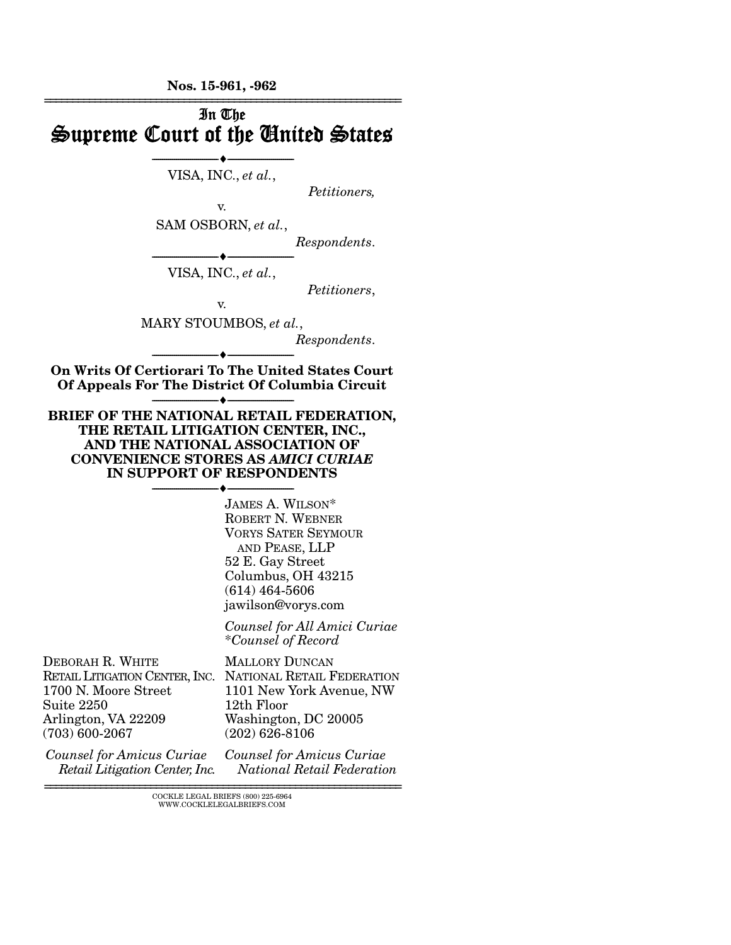Nos. 15-961, -962



================================================================ COCKLE LEGAL BRIEFS (800) 225-6964 WWW.COCKLELEGALBRIEFS.COM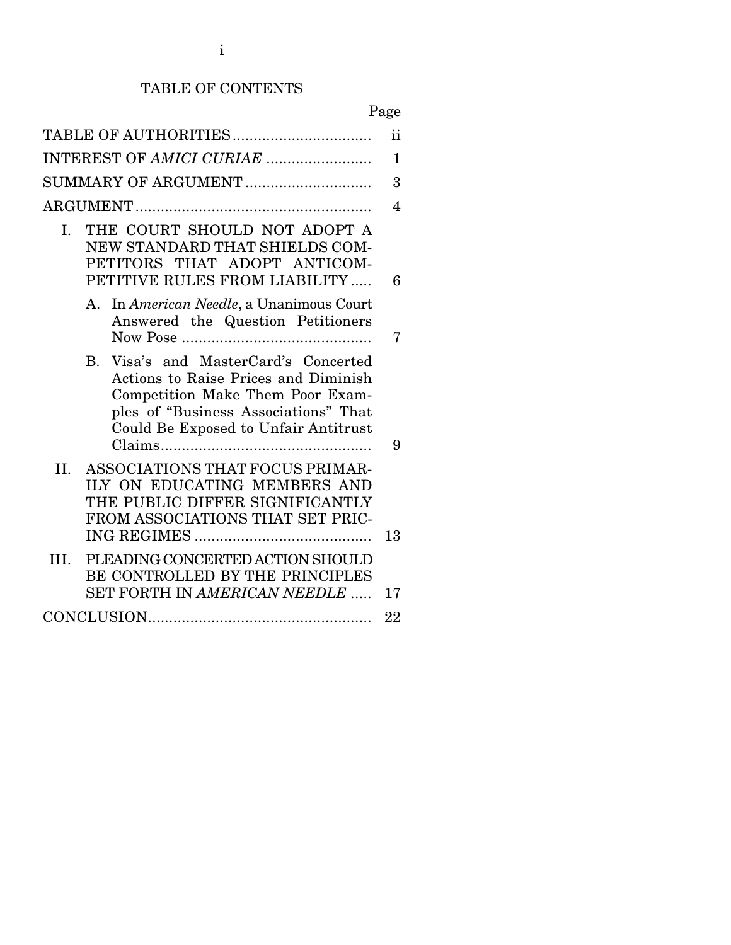# TABLE OF CONTENTS

# Page

|                                                                                                                                                                                                                   | ii |
|-------------------------------------------------------------------------------------------------------------------------------------------------------------------------------------------------------------------|----|
|                                                                                                                                                                                                                   |    |
| INTEREST OF AMICI CURIAE                                                                                                                                                                                          | 1  |
| SUMMARY OF ARGUMENT                                                                                                                                                                                               | 3  |
|                                                                                                                                                                                                                   | 4  |
| THE COURT SHOULD NOT ADOPT A<br>I.<br>NEW STANDARD THAT SHIELDS COM-<br>PETITORS THAT ADOPT ANTICOM-<br>PETITIVE RULES FROM LIABILITY                                                                             | 6  |
| In American Needle, a Unanimous Court<br>А.<br>Answered the Question Petitioners                                                                                                                                  | 7  |
| Visa's and MasterCard's Concerted<br><b>B.</b><br><b>Actions to Raise Prices and Diminish</b><br>Competition Make Them Poor Exam-<br>ples of "Business Associations" That<br>Could Be Exposed to Unfair Antitrust | 9  |
| ASSOCIATIONS THAT FOCUS PRIMAR-<br>II.<br>ILY ON EDUCATING MEMBERS AND<br>THE PUBLIC DIFFER SIGNIFICANTLY<br>FROM ASSOCIATIONS THAT SET PRIC-<br>13                                                               |    |
| PLEADING CONCERTED ACTION SHOULD<br>III.<br>BE CONTROLLED BY THE PRINCIPLES<br>SET FORTH IN AMERICAN NEEDLE<br>17                                                                                                 |    |
| 22                                                                                                                                                                                                                |    |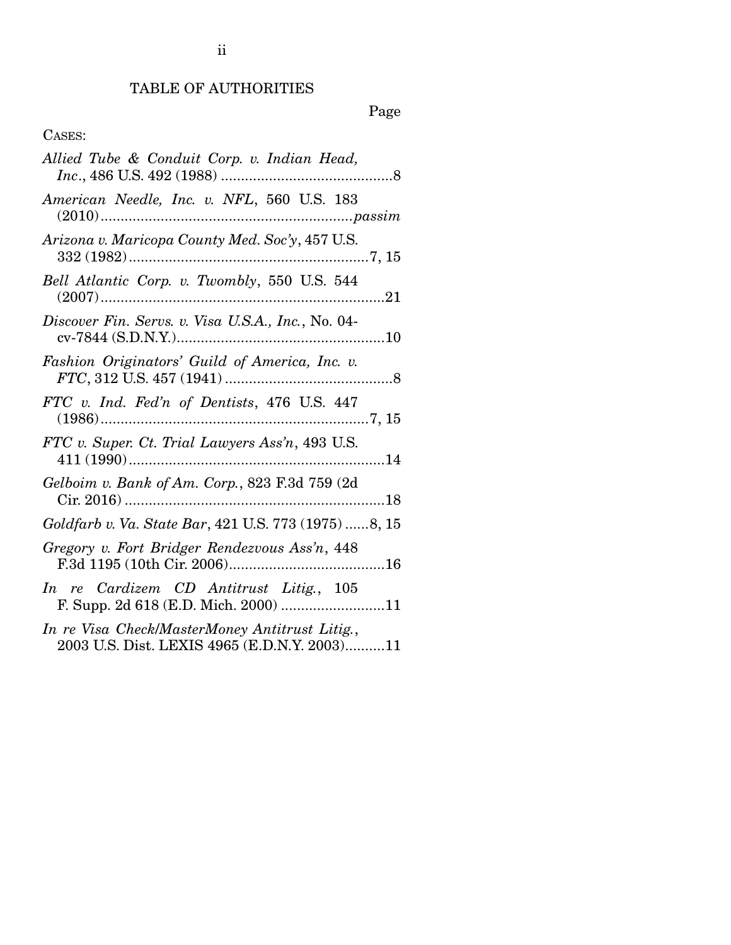## TABLE OF AUTHORITIES

# Page

## CASES:

| Allied Tube & Conduit Corp. v. Indian Head,                                                    |
|------------------------------------------------------------------------------------------------|
| American Needle, Inc. v. NFL, 560 U.S. 183                                                     |
| Arizona v. Maricopa County Med. Soc'y, 457 U.S.                                                |
| Bell Atlantic Corp. v. Twombly, 550 U.S. 544                                                   |
| Discover Fin. Servs. v. Visa U.S.A., Inc., No. 04-                                             |
| Fashion Originators' Guild of America, Inc. v.                                                 |
| FTC v. Ind. Fed'n of Dentists, 476 U.S. 447                                                    |
| FTC v. Super. Ct. Trial Lawyers Ass'n, 493 U.S.                                                |
| Gelboim v. Bank of Am. Corp., 823 F.3d 759 (2d                                                 |
| Goldfarb v. Va. State Bar, 421 U.S. 773 (1975) 8, 15                                           |
| Gregory v. Fort Bridger Rendezvous Ass'n, 448                                                  |
| In re Cardizem CD Antitrust Litig., 105<br>F. Supp. 2d 618 (E.D. Mich. 2000) 11                |
| In re Visa Check/MasterMoney Antitrust Litig.,<br>2003 U.S. Dist. LEXIS 4965 (E.D.N.Y. 2003)11 |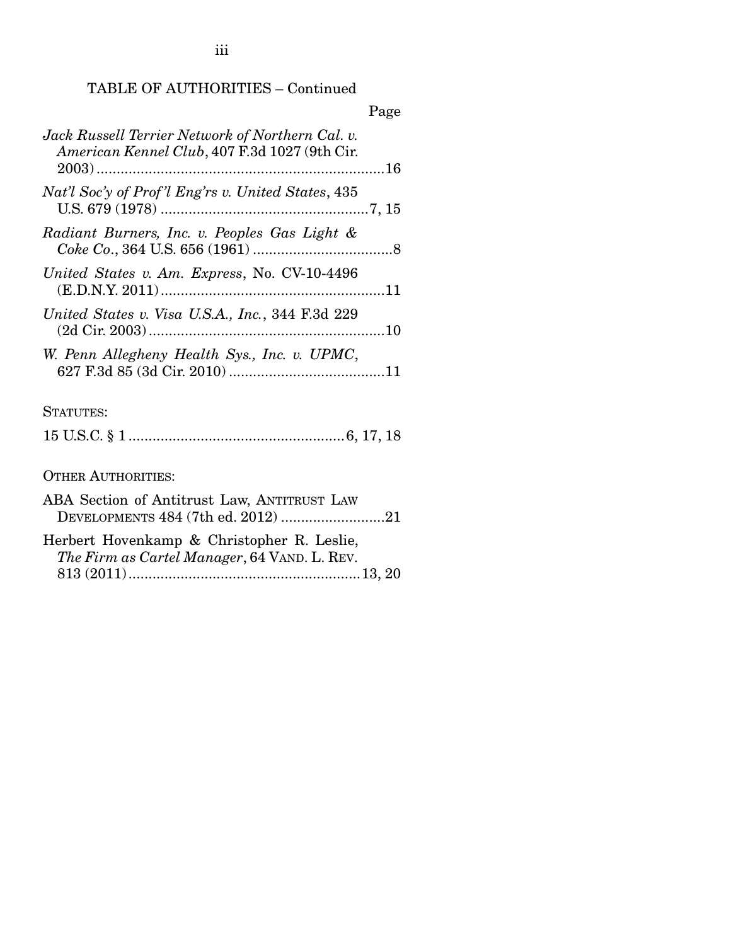TABLE OF AUTHORITIES – Continued

|                                                                                                   | Page |
|---------------------------------------------------------------------------------------------------|------|
| Jack Russell Terrier Network of Northern Cal. v.<br>American Kennel Club, 407 F.3d 1027 (9th Cir. |      |
| Nat'l Soc'y of Prof'l Eng'rs v. United States, 435                                                |      |
| Radiant Burners, Inc. v. Peoples Gas Light &                                                      |      |
| United States v. Am. Express, No. CV-10-4496                                                      |      |
| United States v. Visa U.S.A., Inc., 344 F.3d 229                                                  |      |
| W. Penn Allegheny Health Sys., Inc. v. UPMC,                                                      |      |
| STATUTES:                                                                                         |      |
|                                                                                                   |      |
| <b>OTHER AUTHORITIES:</b>                                                                         |      |

ABA Section of Antitrust Law, ANTITRUST LAW DEVELOPMENTS 484 (7th ed. 2012) .......................... 21 Herbert Hovenkamp & Christopher R. Leslie, *The Firm as Cartel Manager*, 64 VAND. L. REV. 813 (2011) .......................................................... 13, 20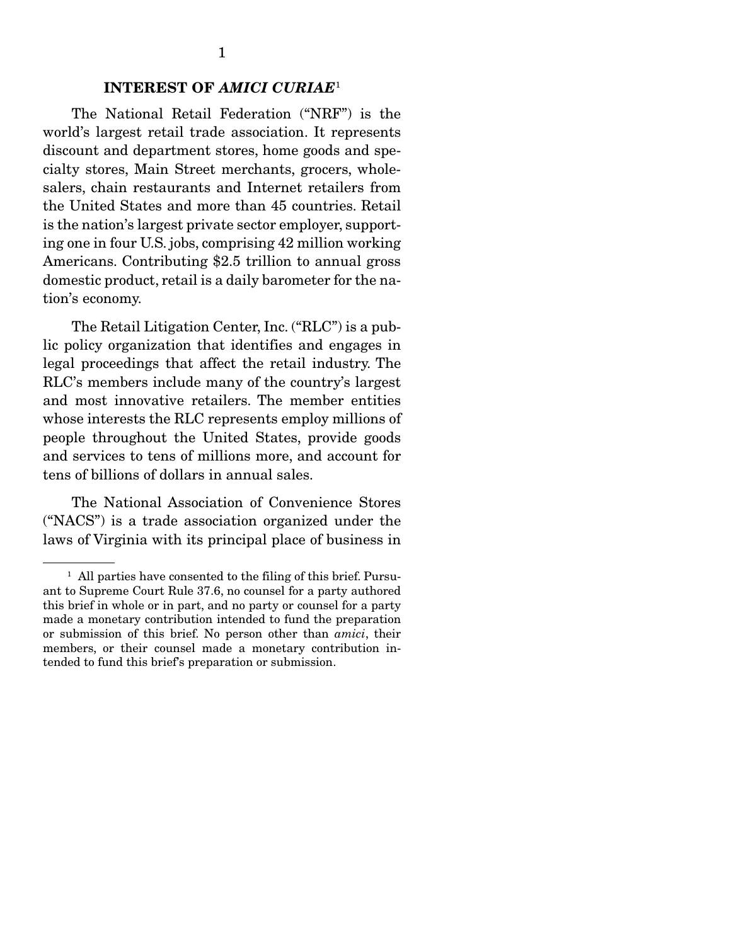## INTEREST OF *AMICI CURIAE*<sup>1</sup>

 The National Retail Federation ("NRF") is the world's largest retail trade association. It represents discount and department stores, home goods and specialty stores, Main Street merchants, grocers, wholesalers, chain restaurants and Internet retailers from the United States and more than 45 countries. Retail is the nation's largest private sector employer, supporting one in four U.S. jobs, comprising 42 million working Americans. Contributing \$2.5 trillion to annual gross domestic product, retail is a daily barometer for the nation's economy.

 The Retail Litigation Center, Inc. ("RLC") is a public policy organization that identifies and engages in legal proceedings that affect the retail industry. The RLC's members include many of the country's largest and most innovative retailers. The member entities whose interests the RLC represents employ millions of people throughout the United States, provide goods and services to tens of millions more, and account for tens of billions of dollars in annual sales.

 The National Association of Convenience Stores ("NACS") is a trade association organized under the laws of Virginia with its principal place of business in

<sup>&</sup>lt;sup>1</sup> All parties have consented to the filing of this brief. Pursuant to Supreme Court Rule 37.6, no counsel for a party authored this brief in whole or in part, and no party or counsel for a party made a monetary contribution intended to fund the preparation or submission of this brief. No person other than *amici*, their members, or their counsel made a monetary contribution intended to fund this brief's preparation or submission.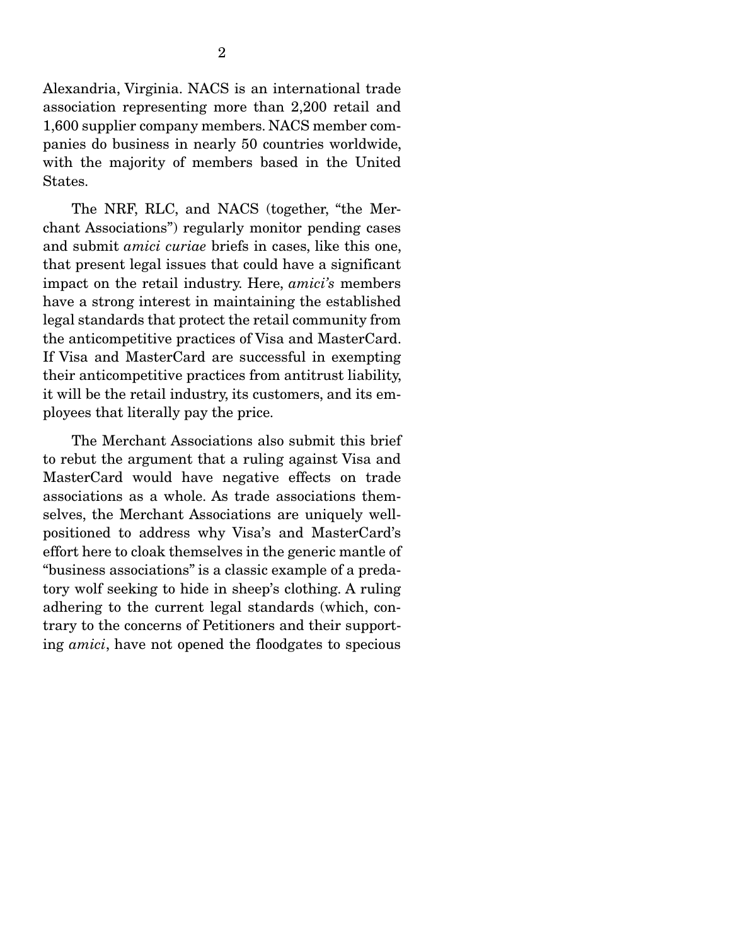Alexandria, Virginia. NACS is an international trade association representing more than 2,200 retail and 1,600 supplier company members. NACS member companies do business in nearly 50 countries worldwide, with the majority of members based in the United States.

 The NRF, RLC, and NACS (together, "the Merchant Associations") regularly monitor pending cases and submit *amici curiae* briefs in cases, like this one, that present legal issues that could have a significant impact on the retail industry. Here, *amici's* members have a strong interest in maintaining the established legal standards that protect the retail community from the anticompetitive practices of Visa and MasterCard. If Visa and MasterCard are successful in exempting their anticompetitive practices from antitrust liability, it will be the retail industry, its customers, and its employees that literally pay the price.

 The Merchant Associations also submit this brief to rebut the argument that a ruling against Visa and MasterCard would have negative effects on trade associations as a whole. As trade associations themselves, the Merchant Associations are uniquely wellpositioned to address why Visa's and MasterCard's effort here to cloak themselves in the generic mantle of "business associations" is a classic example of a predatory wolf seeking to hide in sheep's clothing. A ruling adhering to the current legal standards (which, contrary to the concerns of Petitioners and their supporting *amici*, have not opened the floodgates to specious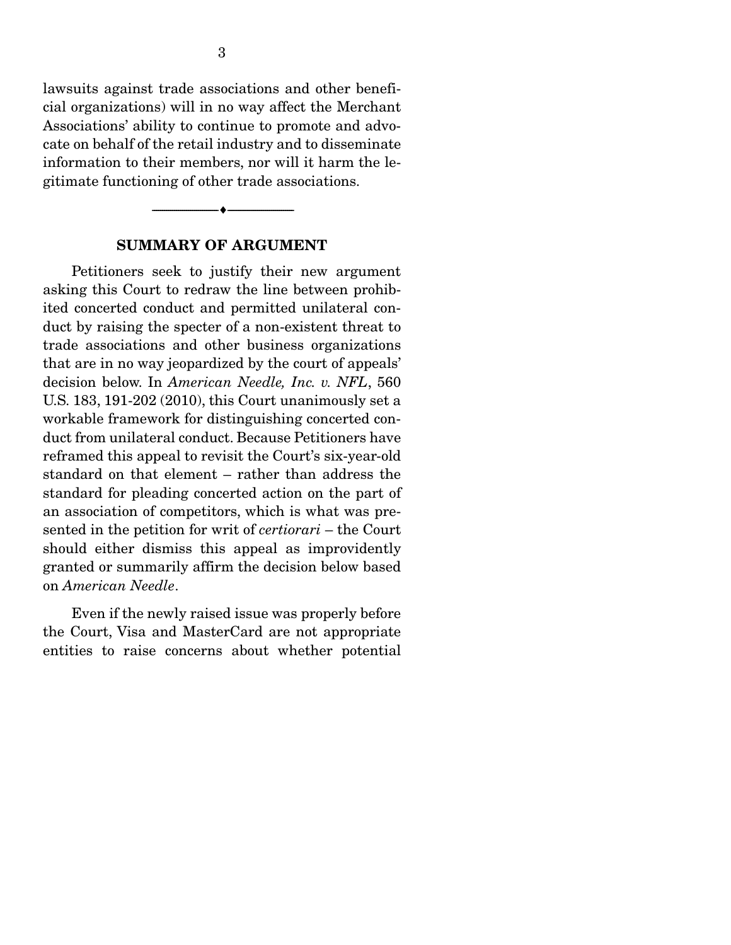lawsuits against trade associations and other beneficial organizations) will in no way affect the Merchant Associations' ability to continue to promote and advocate on behalf of the retail industry and to disseminate information to their members, nor will it harm the legitimate functioning of other trade associations.

### SUMMARY OF ARGUMENT

--------------------------------- ---------------------------------

 Petitioners seek to justify their new argument asking this Court to redraw the line between prohibited concerted conduct and permitted unilateral conduct by raising the specter of a non-existent threat to trade associations and other business organizations that are in no way jeopardized by the court of appeals' decision below. In *American Needle, Inc. v. NFL*, 560 U.S. 183, 191-202 (2010), this Court unanimously set a workable framework for distinguishing concerted conduct from unilateral conduct. Because Petitioners have reframed this appeal to revisit the Court's six-year-old standard on that element – rather than address the standard for pleading concerted action on the part of an association of competitors, which is what was presented in the petition for writ of *certiorari* – the Court should either dismiss this appeal as improvidently granted or summarily affirm the decision below based on *American Needle*.

 Even if the newly raised issue was properly before the Court, Visa and MasterCard are not appropriate entities to raise concerns about whether potential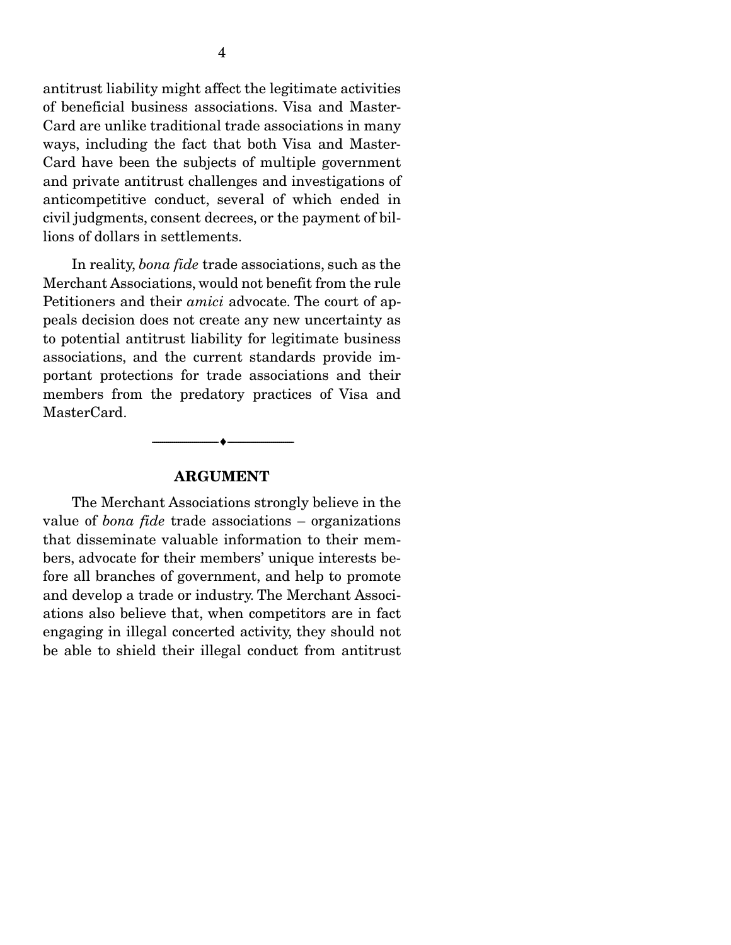antitrust liability might affect the legitimate activities of beneficial business associations. Visa and Master-Card are unlike traditional trade associations in many ways, including the fact that both Visa and Master-Card have been the subjects of multiple government and private antitrust challenges and investigations of anticompetitive conduct, several of which ended in civil judgments, consent decrees, or the payment of billions of dollars in settlements.

 In reality, *bona fide* trade associations, such as the Merchant Associations, would not benefit from the rule Petitioners and their *amici* advocate. The court of appeals decision does not create any new uncertainty as to potential antitrust liability for legitimate business associations, and the current standards provide important protections for trade associations and their members from the predatory practices of Visa and MasterCard.

#### ARGUMENT

--------------------------------- ---------------------------------

 The Merchant Associations strongly believe in the value of *bona fide* trade associations – organizations that disseminate valuable information to their members, advocate for their members' unique interests before all branches of government, and help to promote and develop a trade or industry. The Merchant Associations also believe that, when competitors are in fact engaging in illegal concerted activity, they should not be able to shield their illegal conduct from antitrust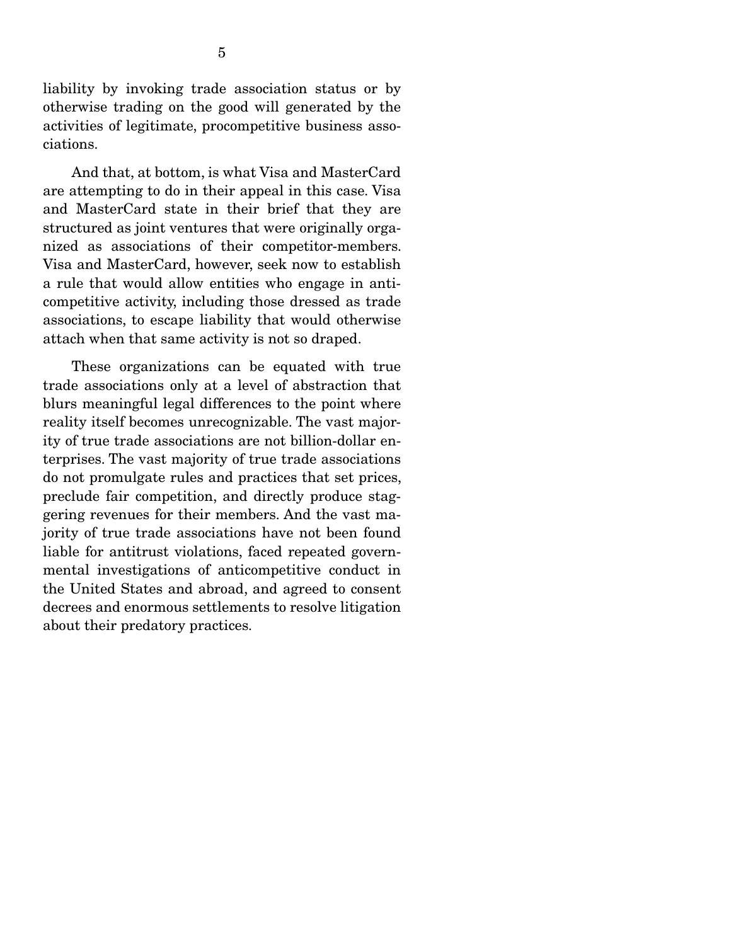liability by invoking trade association status or by otherwise trading on the good will generated by the activities of legitimate, procompetitive business associations.

 And that, at bottom, is what Visa and MasterCard are attempting to do in their appeal in this case. Visa and MasterCard state in their brief that they are structured as joint ventures that were originally organized as associations of their competitor-members. Visa and MasterCard, however, seek now to establish a rule that would allow entities who engage in anticompetitive activity, including those dressed as trade associations, to escape liability that would otherwise attach when that same activity is not so draped.

 These organizations can be equated with true trade associations only at a level of abstraction that blurs meaningful legal differences to the point where reality itself becomes unrecognizable. The vast majority of true trade associations are not billion-dollar enterprises. The vast majority of true trade associations do not promulgate rules and practices that set prices, preclude fair competition, and directly produce staggering revenues for their members. And the vast majority of true trade associations have not been found liable for antitrust violations, faced repeated governmental investigations of anticompetitive conduct in the United States and abroad, and agreed to consent decrees and enormous settlements to resolve litigation about their predatory practices.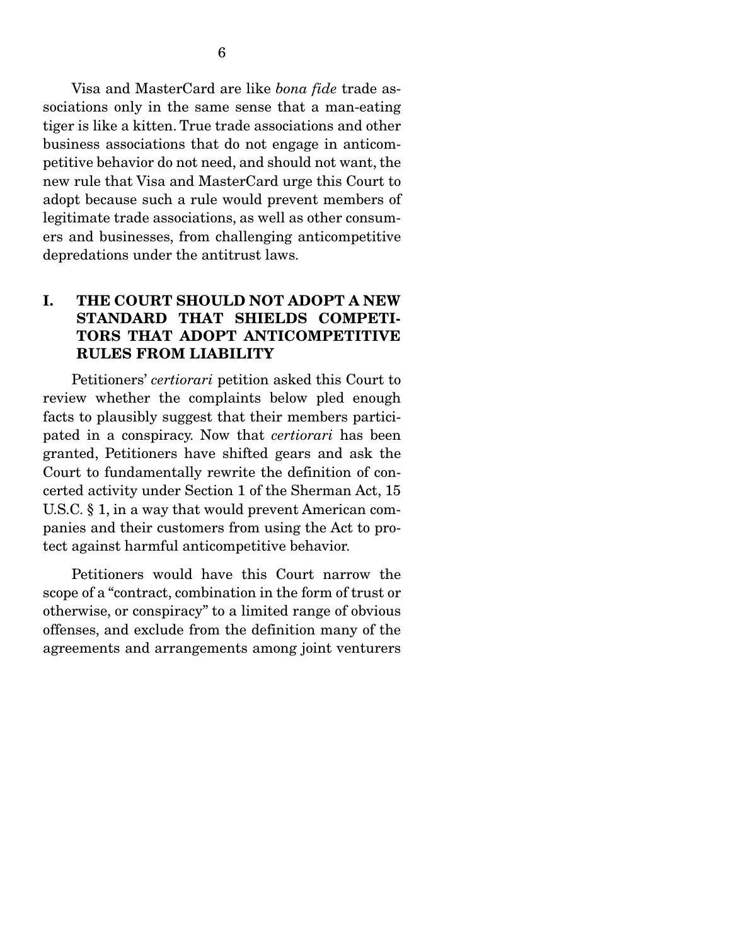6

sociations only in the same sense that a man-eating tiger is like a kitten. True trade associations and other business associations that do not engage in anticompetitive behavior do not need, and should not want, the new rule that Visa and MasterCard urge this Court to adopt because such a rule would prevent members of legitimate trade associations, as well as other consumers and businesses, from challenging anticompetitive depredations under the antitrust laws.

## I. THE COURT SHOULD NOT ADOPT A NEW STANDARD THAT SHIELDS COMPETI-TORS THAT ADOPT ANTICOMPETITIVE RULES FROM LIABILITY

 Petitioners' *certiorari* petition asked this Court to review whether the complaints below pled enough facts to plausibly suggest that their members participated in a conspiracy. Now that *certiorari* has been granted, Petitioners have shifted gears and ask the Court to fundamentally rewrite the definition of concerted activity under Section 1 of the Sherman Act, 15 U.S.C. § 1, in a way that would prevent American companies and their customers from using the Act to protect against harmful anticompetitive behavior.

 Petitioners would have this Court narrow the scope of a "contract, combination in the form of trust or otherwise, or conspiracy" to a limited range of obvious offenses, and exclude from the definition many of the agreements and arrangements among joint venturers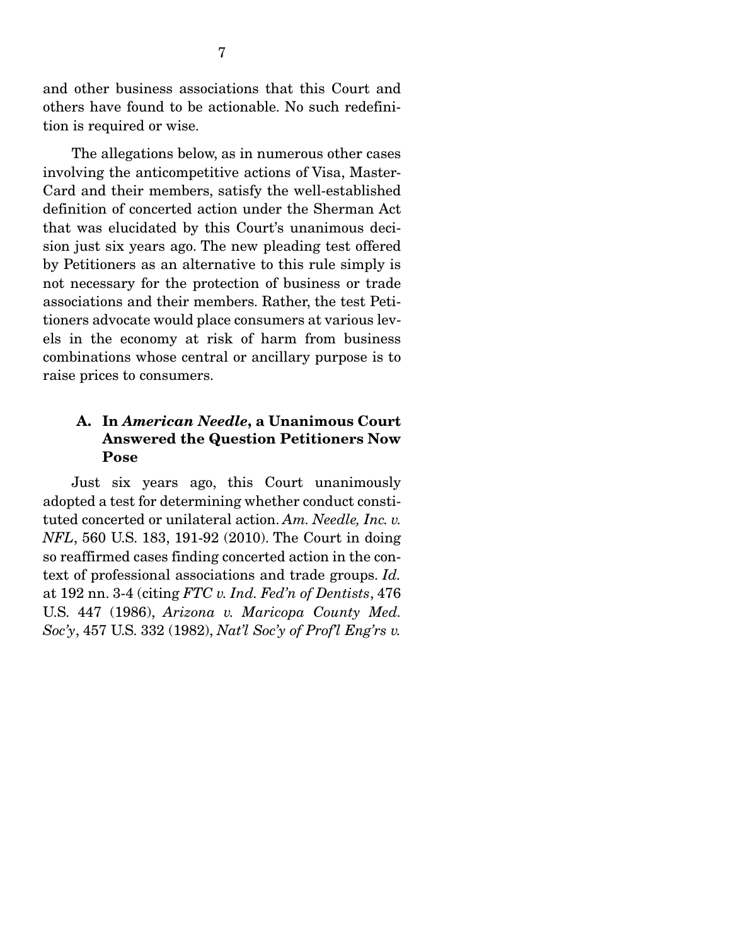and other business associations that this Court and others have found to be actionable. No such redefinition is required or wise.

 The allegations below, as in numerous other cases involving the anticompetitive actions of Visa, Master-Card and their members, satisfy the well-established definition of concerted action under the Sherman Act that was elucidated by this Court's unanimous decision just six years ago. The new pleading test offered by Petitioners as an alternative to this rule simply is not necessary for the protection of business or trade associations and their members. Rather, the test Petitioners advocate would place consumers at various levels in the economy at risk of harm from business combinations whose central or ancillary purpose is to raise prices to consumers.

## A. In *American Needle*, a Unanimous Court Answered the Question Petitioners Now Pose

 Just six years ago, this Court unanimously adopted a test for determining whether conduct constituted concerted or unilateral action. *Am. Needle, Inc. v. NFL*, 560 U.S. 183, 191-92 (2010). The Court in doing so reaffirmed cases finding concerted action in the context of professional associations and trade groups. *Id.* at 192 nn. 3-4 (citing *FTC v. Ind. Fed'n of Dentists*, 476 U.S. 447 (1986), *Arizona v. Maricopa County Med. Soc'y*, 457 U.S. 332 (1982), *Nat'l Soc'y of Prof'l Eng'rs v.*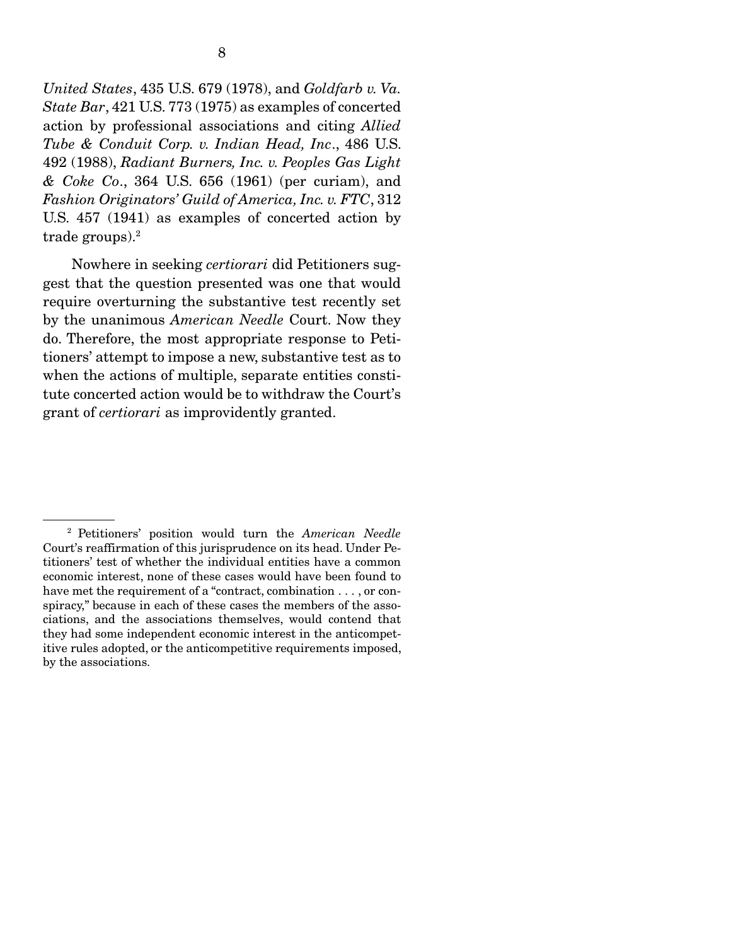*United States*, 435 U.S. 679 (1978), and *Goldfarb v. Va. State Bar*, 421 U.S. 773 (1975) as examples of concerted action by professional associations and citing *Allied Tube & Conduit Corp. v. Indian Head, Inc*., 486 U.S. 492 (1988), *Radiant Burners, Inc. v. Peoples Gas Light & Coke Co*., 364 U.S. 656 (1961) (per curiam), and *Fashion Originators' Guild of America, Inc. v. FTC*, 312 U.S. 457 (1941) as examples of concerted action by trade groups).2

 Nowhere in seeking *certiorari* did Petitioners suggest that the question presented was one that would require overturning the substantive test recently set by the unanimous *American Needle* Court. Now they do. Therefore, the most appropriate response to Petitioners' attempt to impose a new, substantive test as to when the actions of multiple, separate entities constitute concerted action would be to withdraw the Court's grant of *certiorari* as improvidently granted.

<sup>2</sup> Petitioners' position would turn the *American Needle*  Court's reaffirmation of this jurisprudence on its head. Under Petitioners' test of whether the individual entities have a common economic interest, none of these cases would have been found to have met the requirement of a "contract, combination . . . , or conspiracy," because in each of these cases the members of the associations, and the associations themselves, would contend that they had some independent economic interest in the anticompetitive rules adopted, or the anticompetitive requirements imposed, by the associations.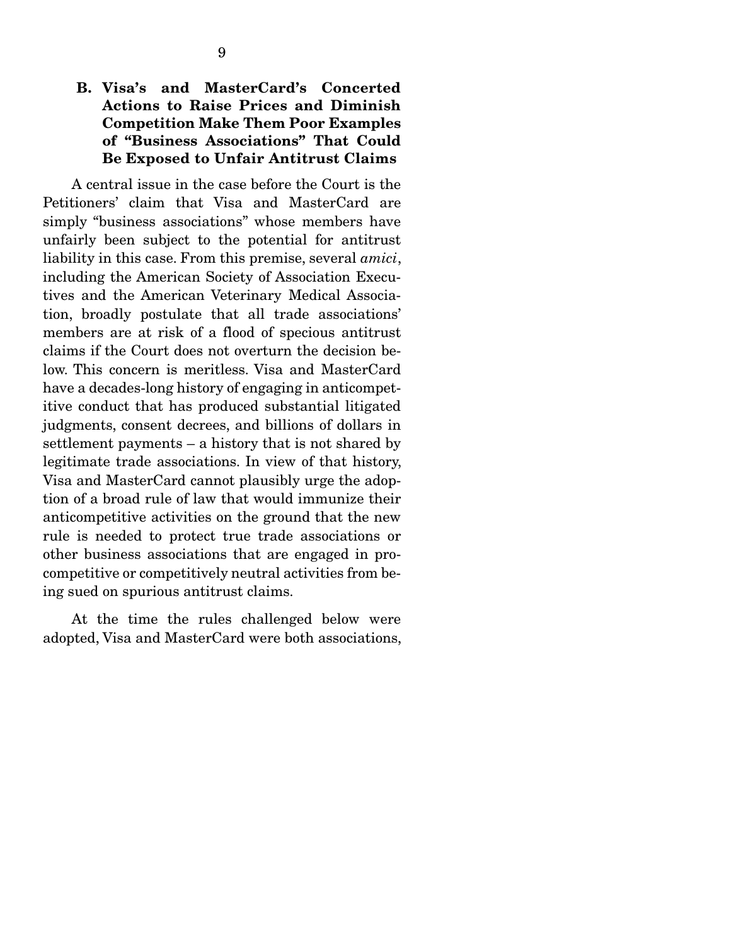## B. Visa's and MasterCard's Concerted Actions to Raise Prices and Diminish Competition Make Them Poor Examples of "Business Associations" That Could Be Exposed to Unfair Antitrust Claims

 A central issue in the case before the Court is the Petitioners' claim that Visa and MasterCard are simply "business associations" whose members have unfairly been subject to the potential for antitrust liability in this case. From this premise, several *amici*, including the American Society of Association Executives and the American Veterinary Medical Association, broadly postulate that all trade associations' members are at risk of a flood of specious antitrust claims if the Court does not overturn the decision below. This concern is meritless. Visa and MasterCard have a decades-long history of engaging in anticompetitive conduct that has produced substantial litigated judgments, consent decrees, and billions of dollars in settlement payments – a history that is not shared by legitimate trade associations. In view of that history, Visa and MasterCard cannot plausibly urge the adoption of a broad rule of law that would immunize their anticompetitive activities on the ground that the new rule is needed to protect true trade associations or other business associations that are engaged in procompetitive or competitively neutral activities from being sued on spurious antitrust claims.

 At the time the rules challenged below were adopted, Visa and MasterCard were both associations,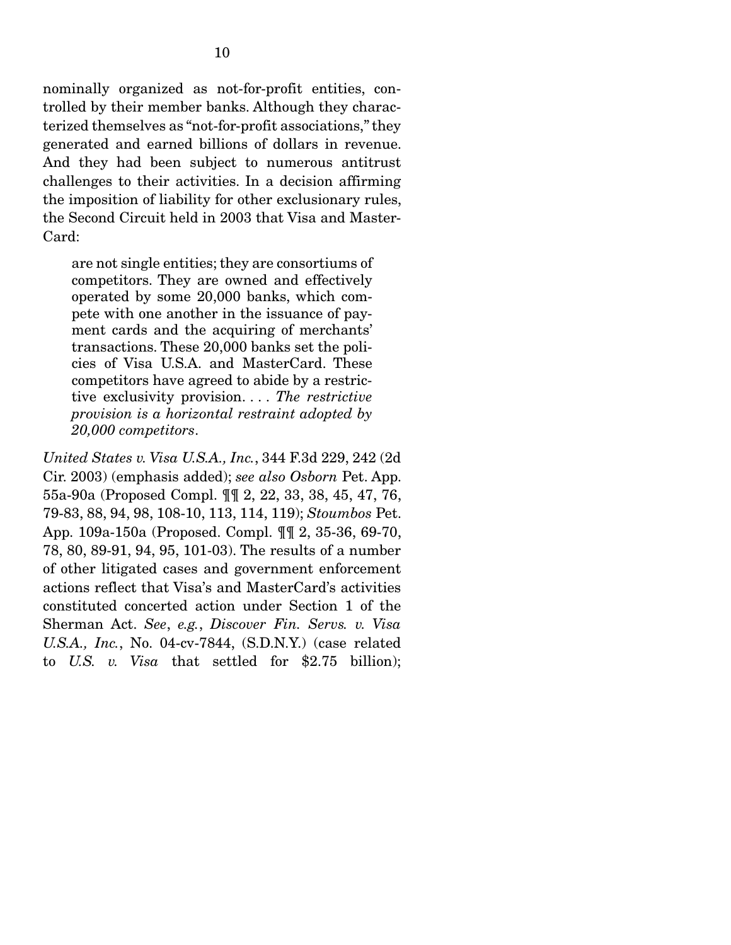nominally organized as not-for-profit entities, controlled by their member banks. Although they characterized themselves as "not-for-profit associations," they generated and earned billions of dollars in revenue. And they had been subject to numerous antitrust challenges to their activities. In a decision affirming the imposition of liability for other exclusionary rules, the Second Circuit held in 2003 that Visa and Master-Card:

are not single entities; they are consortiums of competitors. They are owned and effectively operated by some 20,000 banks, which compete with one another in the issuance of payment cards and the acquiring of merchants' transactions. These 20,000 banks set the policies of Visa U.S.A. and MasterCard. These competitors have agreed to abide by a restrictive exclusivity provision. . . . *The restrictive provision is a horizontal restraint adopted by 20,000 competitors*.

*United States v. Visa U.S.A., Inc.*, 344 F.3d 229, 242 (2d Cir. 2003) (emphasis added); *see also Osborn* Pet. App. 55a-90a (Proposed Compl. ¶¶ 2, 22, 33, 38, 45, 47, 76, 79-83, 88, 94, 98, 108-10, 113, 114, 119); *Stoumbos* Pet. App. 109a-150a (Proposed. Compl. ¶¶ 2, 35-36, 69-70, 78, 80, 89-91, 94, 95, 101-03). The results of a number of other litigated cases and government enforcement actions reflect that Visa's and MasterCard's activities constituted concerted action under Section 1 of the Sherman Act. *See*, *e.g.*, *Discover Fin. Servs. v. Visa U.S.A., Inc.*, No. 04-cv-7844, (S.D.N.Y.) (case related to *U.S. v. Visa* that settled for \$2.75 billion);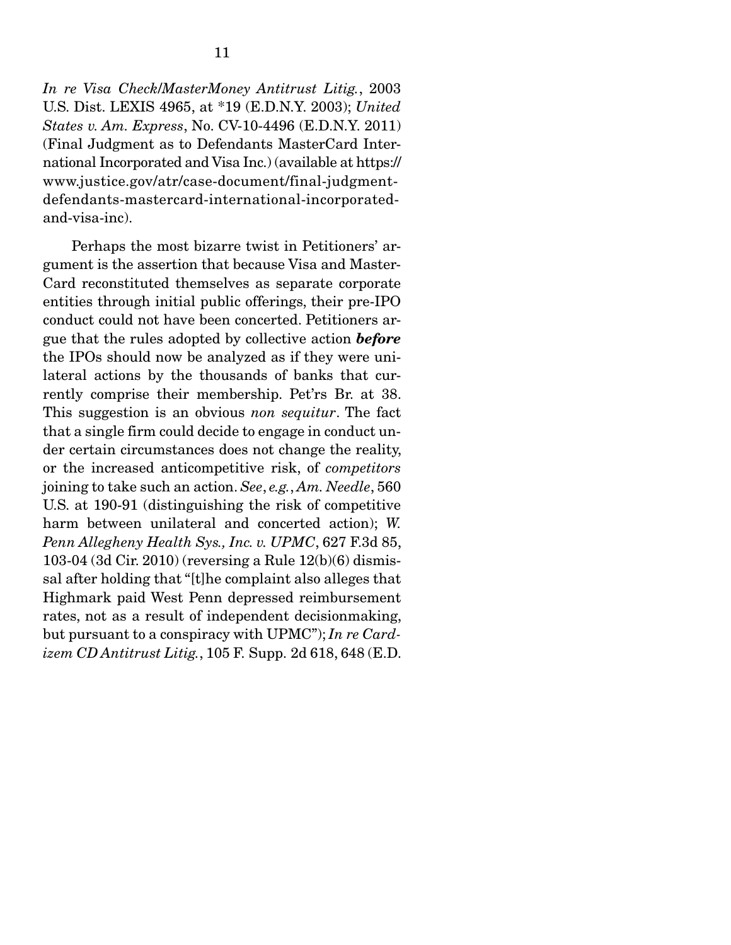*In re Visa Check*/*MasterMoney Antitrust Litig.*, 2003 U.S. Dist. LEXIS 4965, at \*19 (E.D.N.Y. 2003); *United States v. Am. Express*, No. CV-10-4496 (E.D.N.Y. 2011) (Final Judgment as to Defendants MasterCard International Incorporated and Visa Inc.) (available at https:// www.justice.gov/atr/case-document/final-judgmentdefendants-mastercard-international-incorporatedand-visa-inc).

 Perhaps the most bizarre twist in Petitioners' argument is the assertion that because Visa and Master-Card reconstituted themselves as separate corporate entities through initial public offerings, their pre-IPO conduct could not have been concerted. Petitioners argue that the rules adopted by collective action *before* the IPOs should now be analyzed as if they were unilateral actions by the thousands of banks that currently comprise their membership. Pet'rs Br. at 38. This suggestion is an obvious *non sequitur*. The fact that a single firm could decide to engage in conduct under certain circumstances does not change the reality, or the increased anticompetitive risk, of *competitors* joining to take such an action. *See*, *e.g.*, *Am. Needle*, 560 U.S. at 190-91 (distinguishing the risk of competitive harm between unilateral and concerted action); *W. Penn Allegheny Health Sys., Inc. v. UPMC*, 627 F.3d 85, 103-04 (3d Cir. 2010) (reversing a Rule 12(b)(6) dismissal after holding that "[t]he complaint also alleges that Highmark paid West Penn depressed reimbursement rates, not as a result of independent decisionmaking, but pursuant to a conspiracy with UPMC"); *In re Cardizem CD Antitrust Litig.*, 105 F. Supp. 2d 618, 648 (E.D.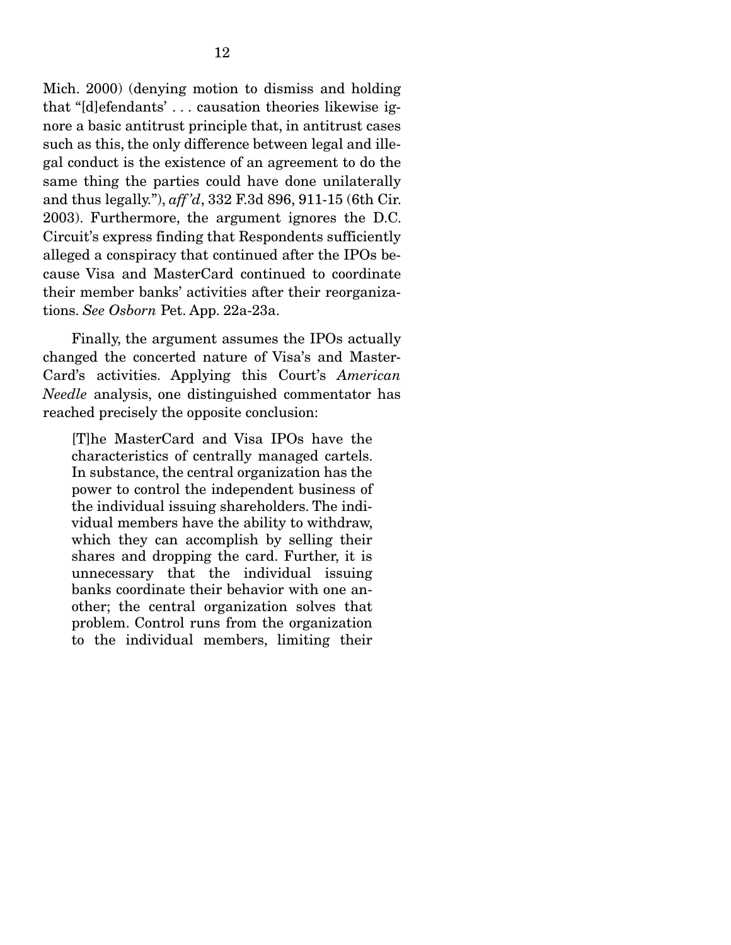Mich. 2000) (denying motion to dismiss and holding that "[d]efendants' . . . causation theories likewise ignore a basic antitrust principle that, in antitrust cases such as this, the only difference between legal and illegal conduct is the existence of an agreement to do the same thing the parties could have done unilaterally and thus legally."), *aff 'd*, 332 F.3d 896, 911-15 (6th Cir. 2003). Furthermore, the argument ignores the D.C. Circuit's express finding that Respondents sufficiently alleged a conspiracy that continued after the IPOs because Visa and MasterCard continued to coordinate their member banks' activities after their reorganizations. *See Osborn* Pet. App. 22a-23a.

 Finally, the argument assumes the IPOs actually changed the concerted nature of Visa's and Master-Card's activities. Applying this Court's *American Needle* analysis, one distinguished commentator has reached precisely the opposite conclusion:

[T]he MasterCard and Visa IPOs have the characteristics of centrally managed cartels. In substance, the central organization has the power to control the independent business of the individual issuing shareholders. The individual members have the ability to withdraw, which they can accomplish by selling their shares and dropping the card. Further, it is unnecessary that the individual issuing banks coordinate their behavior with one another; the central organization solves that problem. Control runs from the organization to the individual members, limiting their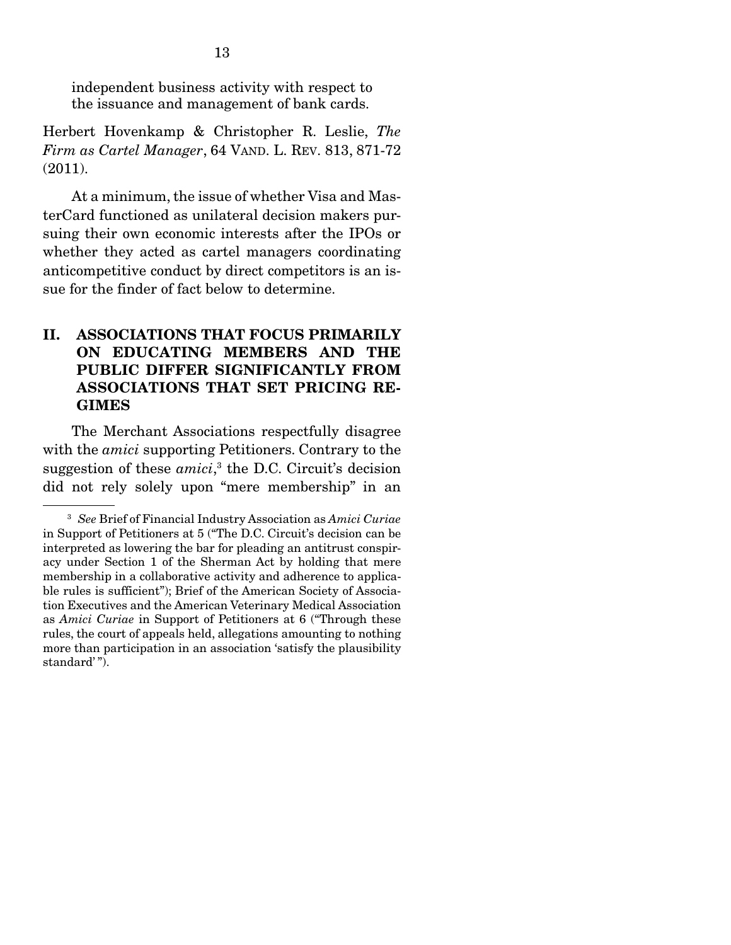independent business activity with respect to the issuance and management of bank cards.

Herbert Hovenkamp & Christopher R. Leslie, *The Firm as Cartel Manager*, 64 VAND. L. REV. 813, 871-72 (2011).

 At a minimum, the issue of whether Visa and MasterCard functioned as unilateral decision makers pursuing their own economic interests after the IPOs or whether they acted as cartel managers coordinating anticompetitive conduct by direct competitors is an issue for the finder of fact below to determine.

## II. ASSOCIATIONS THAT FOCUS PRIMARILY ON EDUCATING MEMBERS AND THE PUBLIC DIFFER SIGNIFICANTLY FROM ASSOCIATIONS THAT SET PRICING RE-GIMES

 The Merchant Associations respectfully disagree with the *amici* supporting Petitioners. Contrary to the suggestion of these *amici*,<sup>3</sup> the D.C. Circuit's decision did not rely solely upon "mere membership" in an

<sup>3</sup> *See* Brief of Financial Industry Association as *Amici Curiae*  in Support of Petitioners at 5 ("The D.C. Circuit's decision can be interpreted as lowering the bar for pleading an antitrust conspiracy under Section 1 of the Sherman Act by holding that mere membership in a collaborative activity and adherence to applicable rules is sufficient"); Brief of the American Society of Association Executives and the American Veterinary Medical Association as *Amici Curiae* in Support of Petitioners at 6 ("Through these rules, the court of appeals held, allegations amounting to nothing more than participation in an association 'satisfy the plausibility standard'").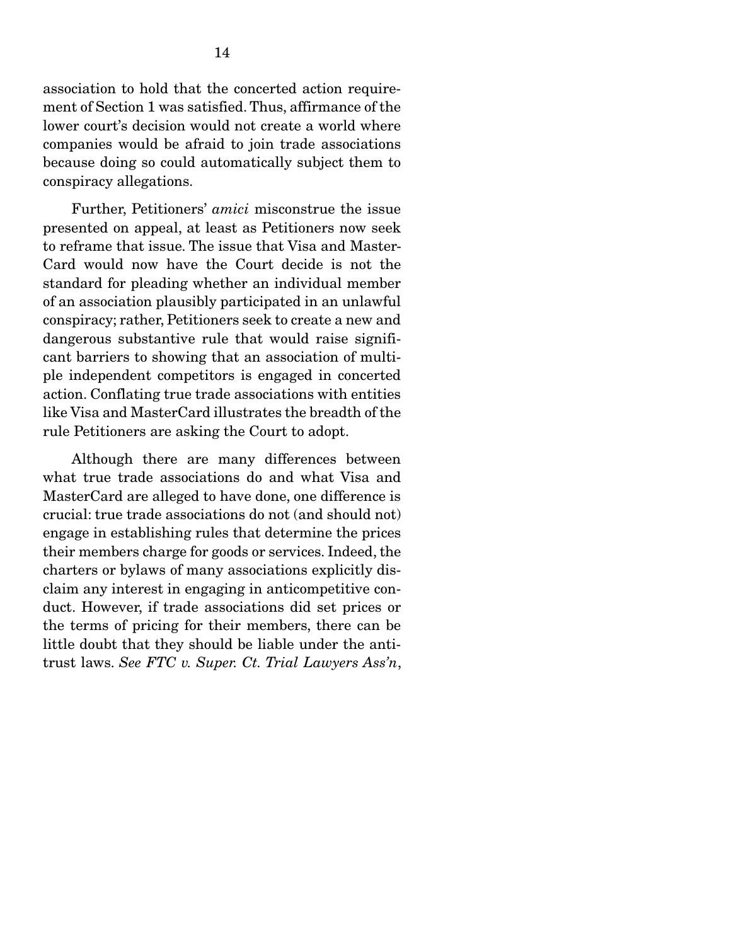association to hold that the concerted action requirement of Section 1 was satisfied. Thus, affirmance of the lower court's decision would not create a world where companies would be afraid to join trade associations because doing so could automatically subject them to conspiracy allegations.

 Further, Petitioners' *amici* misconstrue the issue presented on appeal, at least as Petitioners now seek to reframe that issue. The issue that Visa and Master-Card would now have the Court decide is not the standard for pleading whether an individual member of an association plausibly participated in an unlawful conspiracy; rather, Petitioners seek to create a new and dangerous substantive rule that would raise significant barriers to showing that an association of multiple independent competitors is engaged in concerted action. Conflating true trade associations with entities like Visa and MasterCard illustrates the breadth of the rule Petitioners are asking the Court to adopt.

 Although there are many differences between what true trade associations do and what Visa and MasterCard are alleged to have done, one difference is crucial: true trade associations do not (and should not) engage in establishing rules that determine the prices their members charge for goods or services. Indeed, the charters or bylaws of many associations explicitly disclaim any interest in engaging in anticompetitive conduct. However, if trade associations did set prices or the terms of pricing for their members, there can be little doubt that they should be liable under the antitrust laws. *See FTC v. Super. Ct. Trial Lawyers Ass'n*,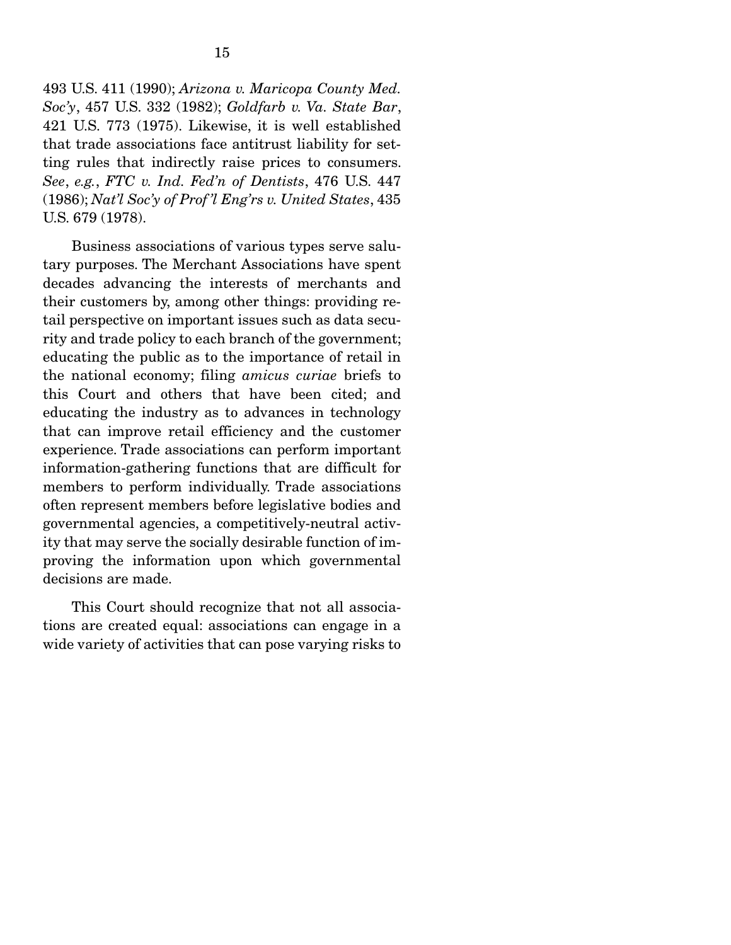493 U.S. 411 (1990); *Arizona v. Maricopa County Med. Soc'y*, 457 U.S. 332 (1982); *Goldfarb v. Va. State Bar*, 421 U.S. 773 (1975). Likewise, it is well established that trade associations face antitrust liability for setting rules that indirectly raise prices to consumers. *See*, *e.g.*, *FTC v. Ind. Fed'n of Dentists*, 476 U.S. 447 (1986); *Nat'l Soc'y of Prof 'l Eng'rs v. United States*, 435 U.S. 679 (1978).

 Business associations of various types serve salutary purposes. The Merchant Associations have spent decades advancing the interests of merchants and their customers by, among other things: providing retail perspective on important issues such as data security and trade policy to each branch of the government; educating the public as to the importance of retail in the national economy; filing *amicus curiae* briefs to this Court and others that have been cited; and educating the industry as to advances in technology that can improve retail efficiency and the customer experience. Trade associations can perform important information-gathering functions that are difficult for members to perform individually. Trade associations often represent members before legislative bodies and governmental agencies, a competitively-neutral activity that may serve the socially desirable function of improving the information upon which governmental decisions are made.

 This Court should recognize that not all associations are created equal: associations can engage in a wide variety of activities that can pose varying risks to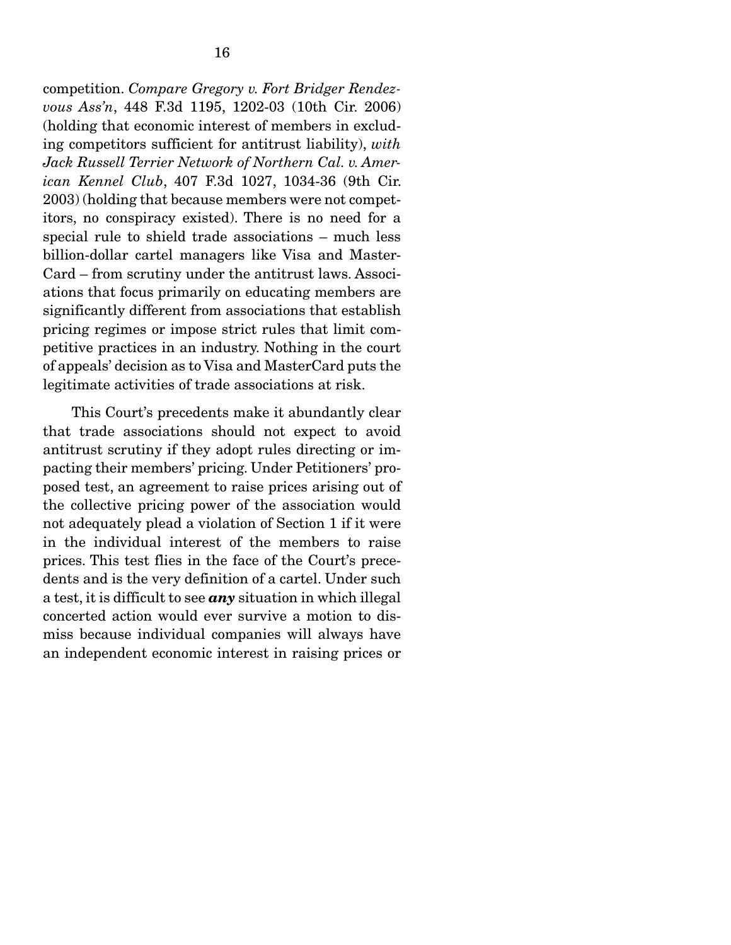competition. *Compare Gregory v. Fort Bridger Rendezvous Ass'n*, 448 F.3d 1195, 1202-03 (10th Cir. 2006) (holding that economic interest of members in excluding competitors sufficient for antitrust liability), *with Jack Russell Terrier Network of Northern Cal. v. American Kennel Club*, 407 F.3d 1027, 1034-36 (9th Cir. 2003) (holding that because members were not competitors, no conspiracy existed). There is no need for a special rule to shield trade associations – much less billion-dollar cartel managers like Visa and Master-Card – from scrutiny under the antitrust laws. Associations that focus primarily on educating members are significantly different from associations that establish pricing regimes or impose strict rules that limit competitive practices in an industry. Nothing in the court of appeals' decision as to Visa and MasterCard puts the legitimate activities of trade associations at risk.

 This Court's precedents make it abundantly clear that trade associations should not expect to avoid antitrust scrutiny if they adopt rules directing or impacting their members' pricing. Under Petitioners' proposed test, an agreement to raise prices arising out of the collective pricing power of the association would not adequately plead a violation of Section 1 if it were in the individual interest of the members to raise prices. This test flies in the face of the Court's precedents and is the very definition of a cartel. Under such a test, it is difficult to see *any* situation in which illegal concerted action would ever survive a motion to dismiss because individual companies will always have an independent economic interest in raising prices or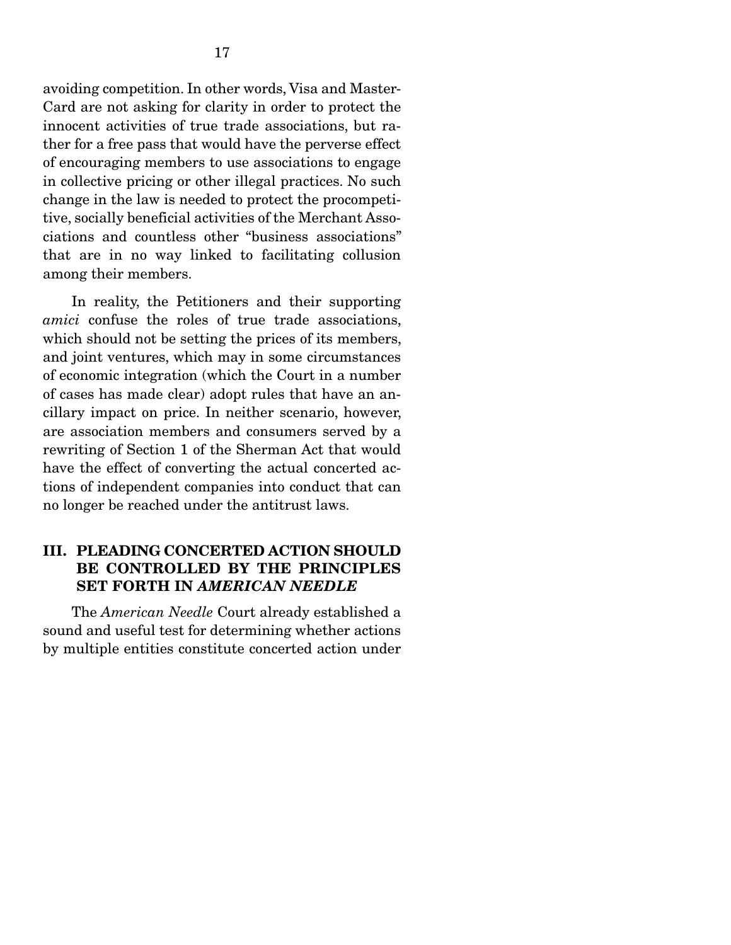avoiding competition. In other words, Visa and Master-Card are not asking for clarity in order to protect the innocent activities of true trade associations, but rather for a free pass that would have the perverse effect of encouraging members to use associations to engage in collective pricing or other illegal practices. No such change in the law is needed to protect the procompetitive, socially beneficial activities of the Merchant Associations and countless other "business associations" that are in no way linked to facilitating collusion among their members.

 In reality, the Petitioners and their supporting *amici* confuse the roles of true trade associations, which should not be setting the prices of its members, and joint ventures, which may in some circumstances of economic integration (which the Court in a number of cases has made clear) adopt rules that have an ancillary impact on price. In neither scenario, however, are association members and consumers served by a rewriting of Section 1 of the Sherman Act that would have the effect of converting the actual concerted actions of independent companies into conduct that can no longer be reached under the antitrust laws.

## III. PLEADING CONCERTED ACTION SHOULD BE CONTROLLED BY THE PRINCIPLES SET FORTH IN *AMERICAN NEEDLE*

 The *American Needle* Court already established a sound and useful test for determining whether actions by multiple entities constitute concerted action under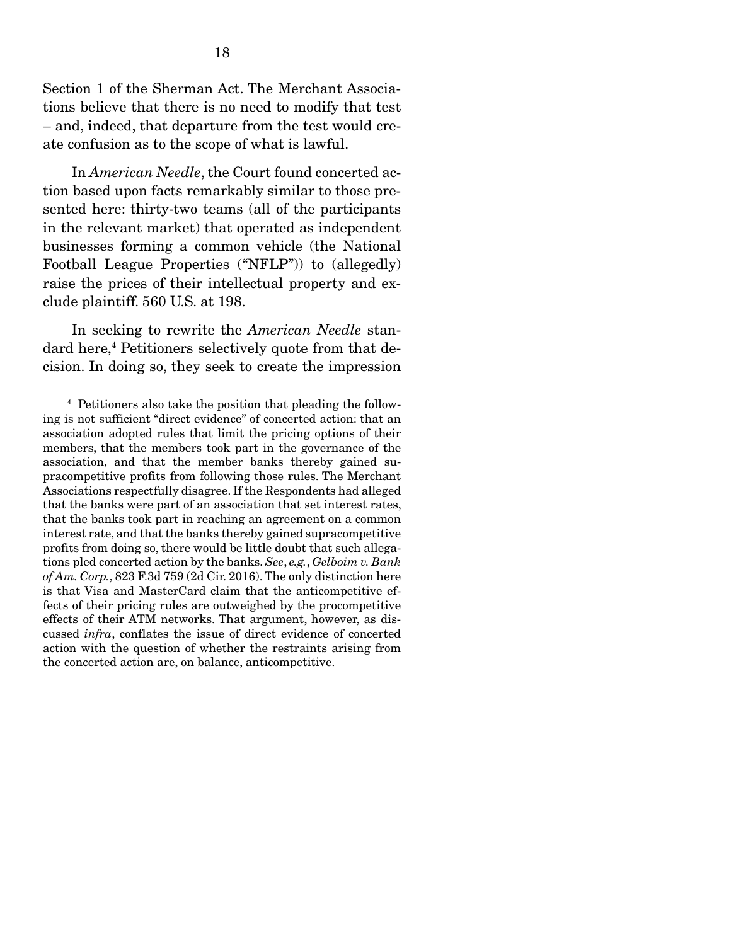Section 1 of the Sherman Act. The Merchant Associations believe that there is no need to modify that test – and, indeed, that departure from the test would create confusion as to the scope of what is lawful.

 In *American Needle*, the Court found concerted action based upon facts remarkably similar to those presented here: thirty-two teams (all of the participants in the relevant market) that operated as independent businesses forming a common vehicle (the National Football League Properties ("NFLP")) to (allegedly) raise the prices of their intellectual property and exclude plaintiff. 560 U.S. at 198.

 In seeking to rewrite the *American Needle* standard here,<sup>4</sup> Petitioners selectively quote from that decision. In doing so, they seek to create the impression

<sup>4</sup> Petitioners also take the position that pleading the following is not sufficient "direct evidence" of concerted action: that an association adopted rules that limit the pricing options of their members, that the members took part in the governance of the association, and that the member banks thereby gained supracompetitive profits from following those rules. The Merchant Associations respectfully disagree. If the Respondents had alleged that the banks were part of an association that set interest rates, that the banks took part in reaching an agreement on a common interest rate, and that the banks thereby gained supracompetitive profits from doing so, there would be little doubt that such allegations pled concerted action by the banks. *See*, *e.g.*, *Gelboim v. Bank of Am. Corp.*, 823 F.3d 759 (2d Cir. 2016). The only distinction here is that Visa and MasterCard claim that the anticompetitive effects of their pricing rules are outweighed by the procompetitive effects of their ATM networks. That argument, however, as discussed *infra*, conflates the issue of direct evidence of concerted action with the question of whether the restraints arising from the concerted action are, on balance, anticompetitive.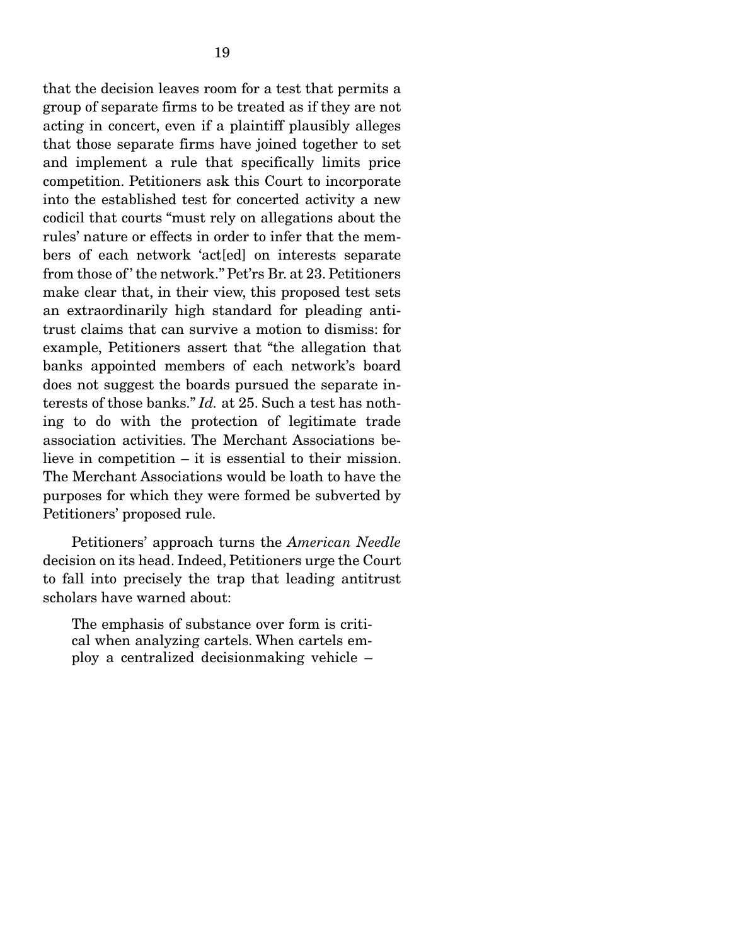that the decision leaves room for a test that permits a group of separate firms to be treated as if they are not acting in concert, even if a plaintiff plausibly alleges that those separate firms have joined together to set and implement a rule that specifically limits price competition. Petitioners ask this Court to incorporate into the established test for concerted activity a new codicil that courts "must rely on allegations about the rules' nature or effects in order to infer that the members of each network 'act[ed] on interests separate from those of ' the network." Pet'rs Br. at 23. Petitioners make clear that, in their view, this proposed test sets an extraordinarily high standard for pleading antitrust claims that can survive a motion to dismiss: for example, Petitioners assert that "the allegation that banks appointed members of each network's board does not suggest the boards pursued the separate interests of those banks." *Id.* at 25. Such a test has nothing to do with the protection of legitimate trade association activities. The Merchant Associations believe in competition – it is essential to their mission. The Merchant Associations would be loath to have the purposes for which they were formed be subverted by Petitioners' proposed rule.

 Petitioners' approach turns the *American Needle* decision on its head. Indeed, Petitioners urge the Court to fall into precisely the trap that leading antitrust scholars have warned about:

The emphasis of substance over form is critical when analyzing cartels. When cartels employ a centralized decisionmaking vehicle –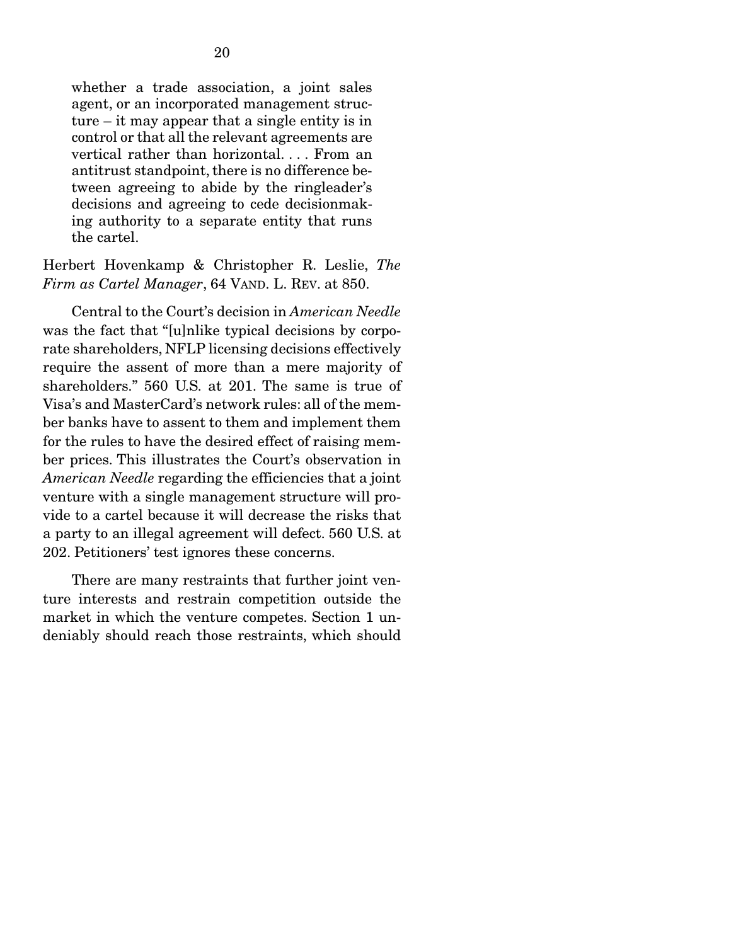whether a trade association, a joint sales agent, or an incorporated management structure – it may appear that a single entity is in control or that all the relevant agreements are vertical rather than horizontal. . . . From an antitrust standpoint, there is no difference between agreeing to abide by the ringleader's decisions and agreeing to cede decisionmaking authority to a separate entity that runs the cartel.

Herbert Hovenkamp & Christopher R. Leslie, *The Firm as Cartel Manager*, 64 VAND. L. REV. at 850.

 Central to the Court's decision in *American Needle* was the fact that "[u]nlike typical decisions by corporate shareholders, NFLP licensing decisions effectively require the assent of more than a mere majority of shareholders." 560 U.S. at 201. The same is true of Visa's and MasterCard's network rules: all of the member banks have to assent to them and implement them for the rules to have the desired effect of raising member prices. This illustrates the Court's observation in *American Needle* regarding the efficiencies that a joint venture with a single management structure will provide to a cartel because it will decrease the risks that a party to an illegal agreement will defect. 560 U.S. at 202. Petitioners' test ignores these concerns.

 There are many restraints that further joint venture interests and restrain competition outside the market in which the venture competes. Section 1 undeniably should reach those restraints, which should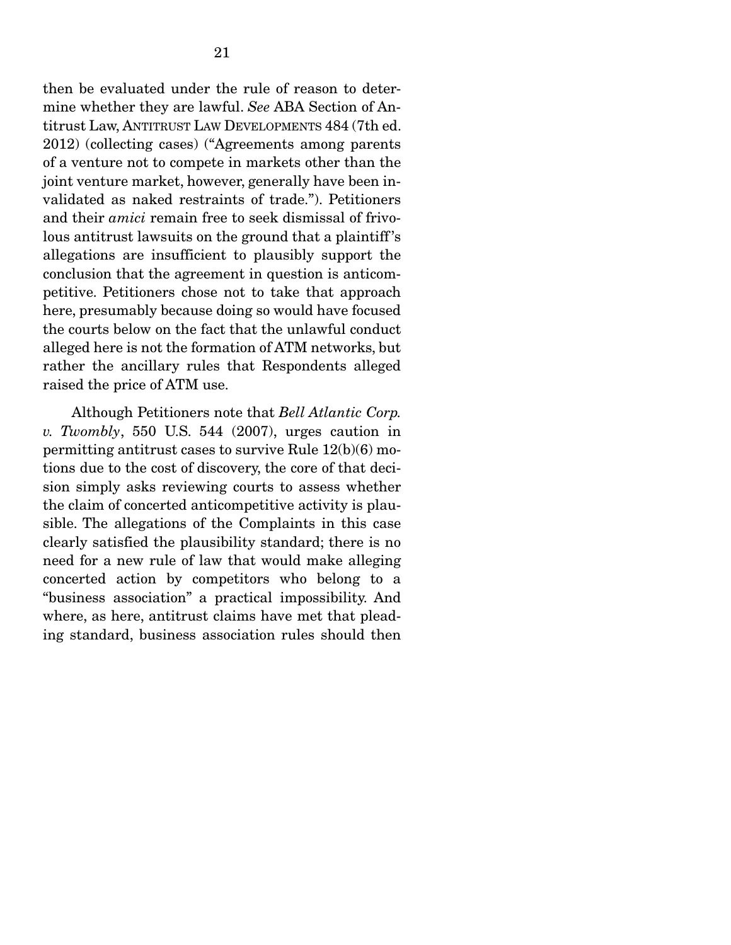then be evaluated under the rule of reason to determine whether they are lawful. *See* ABA Section of Antitrust Law, ANTITRUST LAW DEVELOPMENTS 484 (7th ed. 2012) (collecting cases) ("Agreements among parents of a venture not to compete in markets other than the joint venture market, however, generally have been invalidated as naked restraints of trade."). Petitioners and their *amici* remain free to seek dismissal of frivolous antitrust lawsuits on the ground that a plaintiff 's allegations are insufficient to plausibly support the conclusion that the agreement in question is anticompetitive. Petitioners chose not to take that approach here, presumably because doing so would have focused the courts below on the fact that the unlawful conduct alleged here is not the formation of ATM networks, but rather the ancillary rules that Respondents alleged raised the price of ATM use.

 Although Petitioners note that *Bell Atlantic Corp. v. Twombly*, 550 U.S. 544 (2007), urges caution in permitting antitrust cases to survive Rule 12(b)(6) motions due to the cost of discovery, the core of that decision simply asks reviewing courts to assess whether the claim of concerted anticompetitive activity is plausible. The allegations of the Complaints in this case clearly satisfied the plausibility standard; there is no need for a new rule of law that would make alleging concerted action by competitors who belong to a "business association" a practical impossibility. And where, as here, antitrust claims have met that pleading standard, business association rules should then